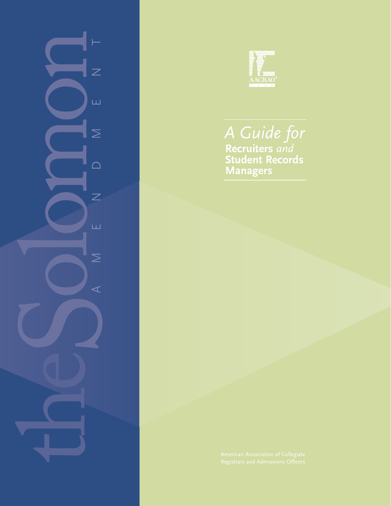



#### **Recruiters** *and* **Student Records Managers** *A Guide for*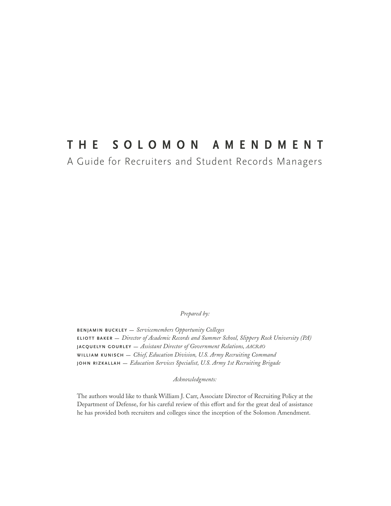#### **THE SOLOMON AMENDMENT**

A Guide for Recruiters and Student Records Managers

*Prepared by:*

**BENJAMIN BUCKLEY —** *Servicemembers Opportunity Colleges* **ELIOTT BAKER —** *Director of Academic Records and Summer School, Slippery Rock University (PA)* **JACQUELYN GOURLEY —** *Assistant Director of Government Relations, AACRAO* **WILLIAM KUNISCH —** *Chief, Education Division, U.S. Army Recruiting Command* **JOHN RIZKALLAH —** *Education Services Specialist, U.S. Army 1st Recruiting Brigade* 

*Acknowledgments:*

The authors would like to thank William J. Carr, Associate Director of Recruiting Policy at the Department of Defense, for his careful review of this effort and for the great deal of assistance he has provided both recruiters and colleges since the inception of the Solomon Amendment.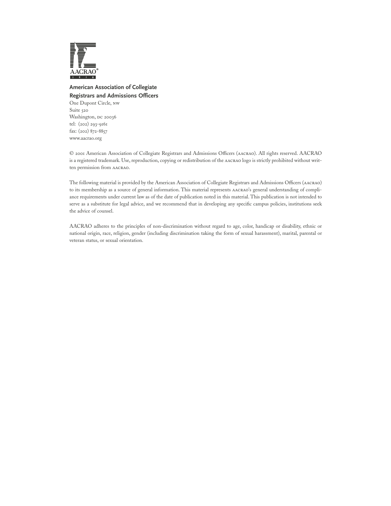

#### **American Association of Collegiate Registrars and Admissions Officers**

One Dupont Circle, nw Suite 520 Washington, DC 20036 tel: (202) 293-9161 fax: (202) 872-8857 www.aacrao.org

© 2001 American Association of Collegiate Registrars and Admissions Officers (aacrao). All rights reserved. AACRAO is a registered trademark. Use, reproduction, copying or redistribution of the aacrao logo is strictly prohibited without written permission from aacrao.

The following material is provided by the American Association of Collegiate Registrars and Admissions Officers (aacrao) to its membership as a source of general information. This material represents aacrao's general understanding of compliance requirements under current law as of the date of publication noted in this material. This publication is not intended to serve as a substitute for legal advice, and we recommend that in developing any specific campus policies, institutions seek the advice of counsel.

AACRAO adheres to the principles of non-discrimination without regard to age, color, handicap or disability, ethnic or national origin, race, religion, gender (including discrimination taking the form of sexual harassment), marital, parental or veteran status, or sexual orientation.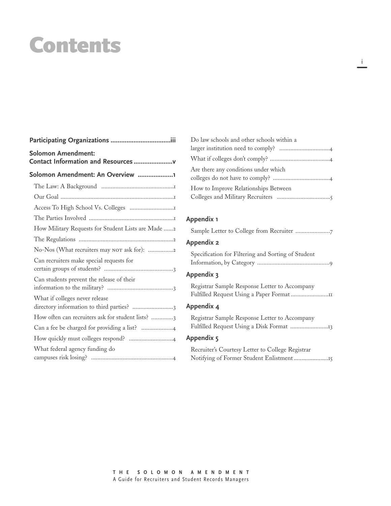### Contents

| <b>Solomon Amendment:</b><br>Contact Information and Resources |  |  |  |  |
|----------------------------------------------------------------|--|--|--|--|
| Solomon Amendment: An Overview 1                               |  |  |  |  |
|                                                                |  |  |  |  |
|                                                                |  |  |  |  |
|                                                                |  |  |  |  |
|                                                                |  |  |  |  |
| How Military Requests for Student Lists are Made 2             |  |  |  |  |
|                                                                |  |  |  |  |
| No-Nos (What recruiters may NOT ask for): 2                    |  |  |  |  |
| Can recruiters make special requests for                       |  |  |  |  |
| Can students prevent the release of their                      |  |  |  |  |
| What if colleges never release                                 |  |  |  |  |
| How often can recruiters ask for student lists? 3              |  |  |  |  |
|                                                                |  |  |  |  |
|                                                                |  |  |  |  |
| What federal agency funding do                                 |  |  |  |  |

| Do law schools and other schools within a |
|-------------------------------------------|
|                                           |
|                                           |
| Are there any conditions under which      |
| How to Improve Relationships Between      |

#### **Appendix 1**

| Appendix 1                                         |
|----------------------------------------------------|
|                                                    |
| <b>Appendix 2</b>                                  |
| Specification for Filtering and Sorting of Student |
| Appendix 3                                         |
| Registrar Sample Response Letter to Accompany      |
| Appendix 4                                         |
| Registrar Sample Response Letter to Accompany      |
| Appendix 5                                         |
| Recruiter's Courtesy Letter to College Registrar   |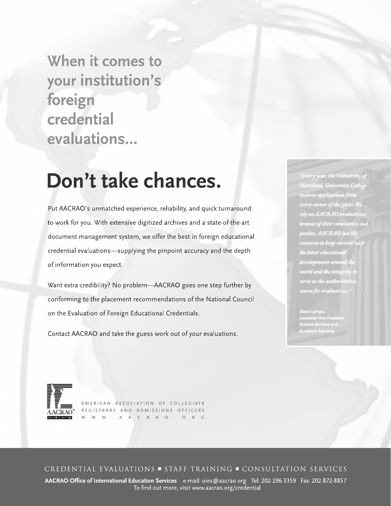When it comes to your institution's foreign credential evaluations...

### Don't take chances.

Put AACRAO's unmatched experience, reliability, and quick turnaround to work for you. With extensive digitized archives and a state-of-the-art document management system, we offer the best in foreign educational credential evaluations—supplying the pinpoint accuracy and the depth of information you expect.

Want extra credibility? No problem—AACRAO goes one step further by conforming to the placement recommendations of the National Council on the Evaluation of Foreign Educational Credentials.

Contact AACRAO and take the guess work out of your evaluations.

Every year, the University of Maryland, University College receives applications from every corner of the globe. We rely on AACRAO evaluations because of their consistency and quality. AACRAO bas the resources to keep current with the latest educational developments around th world and the integrity: serve as the authoritati

iane Lampe,<br>ssociate Vice President udent Services and<br>cademic Advising



AMERICAN ASSOCIATION OF COLLEGIATE REGISTRARS AND ADMISSIONS OFFICERS W W W . A A C R A O . O R G

CREDENTIAL EVALUATIONS = STAFF TRAINING = CONSULTATION SERVICES

AACRAO Office of International Education Services e-mail: oies@aacrao.org Tel: 202-296-3359 Fax: 202-872-8857 To find out more, visit www.aacrao.org/credential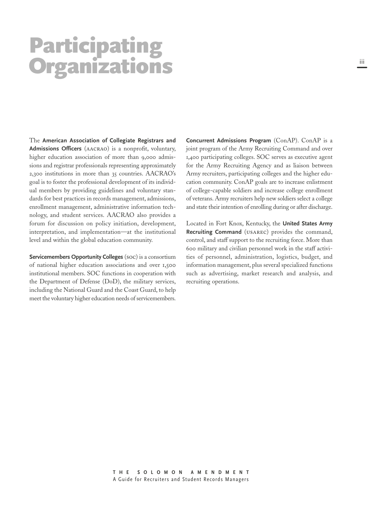### Participating **Organizations**

The **American Association of Collegiate Registrars and Admissions Officers** (aacrao) is a nonprofit, voluntary, higher education association of more than 9,000 admissions and registrar professionals representing approximately 2,300 institutions in more than 35 countries. AACRAO's goal is to foster the professional development of its individual members by providing guidelines and voluntary standards for best practices in records management, admissions, enrollment management, administrative information technology, and student services. AACRAO also provides a forum for discussion on policy initiation, development, interpretation, and implementation—at the institutional level and within the global education community.

**Servicemembers Opportunity Colleges** (soc) is a consortium of national higher education associations and over 1,500 institutional members. SOC functions in cooperation with the Department of Defense (DoD), the military services, including the National Guard and the Coast Guard, to help meet the voluntary higher education needs of servicemembers.

**Concurrent Admissions Program** (ConAP). ConAP is a joint program of the Army Recruiting Command and over 1,400 participating colleges. SOC serves as executive agent for the Army Recruiting Agency and as liaison between Army recruiters, participating colleges and the higher education community. ConAP goals are to increase enlistment of college-capable soldiers and increase college enrollment of veterans. Army recruiters help new soldiers select a college and state their intention of enrolling during or after discharge.

Located in Fort Knox, Kentucky, the **United States Army Recruiting Command** (usarec) provides the command, control, and staff support to the recruiting force. More than 600 military and civilian personnel work in the staff activities of personnel, administration, logistics, budget, and information management, plus several specialized functions such as advertising, market research and analysis, and recruiting operations.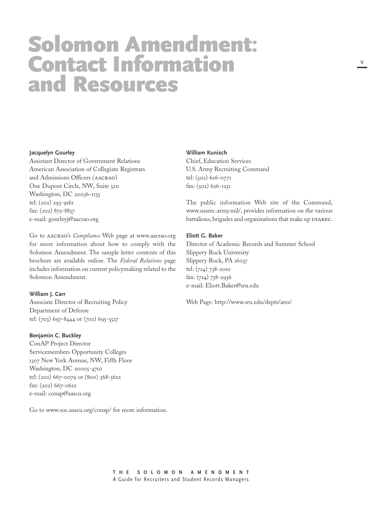### Solomon Amendment: Contact Information and Resources

#### **Jacquelyn Gourley**

Assistant Director of Government Relations American Association of Collegiate Registrars and Admissions Officers (aacrao) One Dupont Circle, NW, Suite Washington, DC 20036-1135 tel: (202) 293-9161 fax: (202) 872-8857 e-mail: gourleyj@aacrao.org

Go to aacrao's *Compliance* Web page at www.aacrao.org for more information about how to comply with the Solomon Amendment. The sample letter contents of this brochure are available online. The *Federal Relations* page includes information on current policymaking related to the Solomon Amendment.

#### **William J. Carr**

Associate Director of Recruiting Policy Department of Defense tel: (703) 697-8444 or (702) 695-5527

#### **Benjamin C. Buckley**

ConAP Project Director Servicemembers Opportunity Colleges 1307 New York Avenue, NW, Fifth Floor Washington, DC 20005-4701 tel: (202) 667-0079 or (800) 368-5622 fax: (202) 667-0622 e-mail: conap@aascu.org

Go to www.soc.aascu.org/conap/ for more information.

#### **William Kunisch**

Chief, Education Services U.S. Army Recruiting Command tel: (502) 626-0771 fax: (502) 626-1251

The public information Web site of the Command, www.usarec.army.mil/, provides information on the various battalions, brigades and organizations that make up usarec.

#### **Eliott G. Baker**

Director of Academic Records and Summer School Slippery Rock University Slippery Rock, PA 16057 tel: (724) 738-2010 fax:  $(724)$  738-2936 e-mail: Eliott.Baker@sru.edu

Web Page: http://www.sru.edu/depts/arss/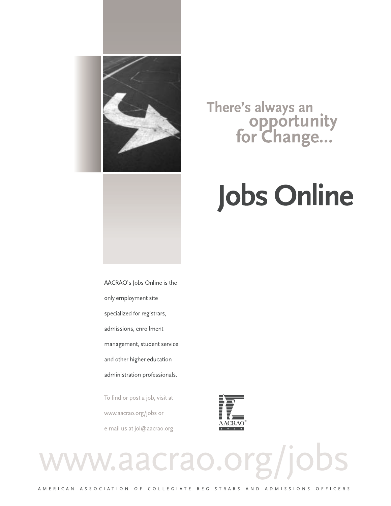

# opportunity<br>for Change...

There's always an

# **Jobs Online**

rg/jobs

AACRAO's Jobs Online is the only employment site specialized for registrars, admissions, enrollment management, student service and other higher education administration professionals.

To find or post a job, visit at www.aacrao.org/jobs or e-mail us at jol@aacrao.org

ww.aacrao.



AMERICAN ASSOCIATION OF COLLEGIATE REGISTRARS AND ADMISSIONS OFFICERS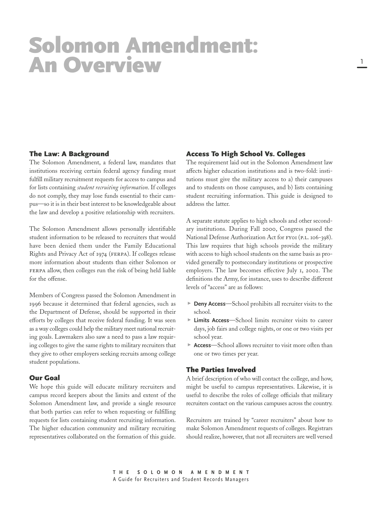### Solomon Amendment: An Overview

#### The Law: A Background

The Solomon Amendment, a federal law, mandates that institutions receiving certain federal agency funding must fulfill military recruitment requests for access to campus and for lists containing *student recruiting information*. If colleges do not comply, they may lose funds essential to their campus—so it is in their best interest to be knowledgeable about the law and develop a positive relationship with recruiters.

The Solomon Amendment allows personally identifiable student information to be released to recruiters that would have been denied them under the Family Educational Rights and Privacy Act of 1974 (ferpa). If colleges release more information about students than either Solomon or FERPA allow, then colleges run the risk of being held liable for the offense.

Members of Congress passed the Solomon Amendment in 1996 because it determined that federal agencies, such as the Department of Defense, should be supported in their efforts by colleges that receive federal funding. It was seen as a way colleges could help the military meet national recruiting goals. Lawmakers also saw a need to pass a law requiring colleges to give the same rights to military recruiters that they give to other employers seeking recruits among college student populations.

#### Our Goal

We hope this guide will educate military recruiters and campus record keepers about the limits and extent of the Solomon Amendment law, and provide a single resource that both parties can refer to when requesting or fulfilling requests for lists containing student recruiting information. The higher education community and military recruiting representatives collaborated on the formation of this guide.

#### Access To High School Vs. Colleges

The requirement laid out in the Solomon Amendment law affects higher education institutions and is two-fold: institutions must give the military access to a) their campuses and to students on those campuses, and b) lists containing student recruiting information. This guide is designed to address the latter.

A separate statute applies to high schools and other secondary institutions. During Fall 2000, Congress passed the National Defense Authorization Act for FYOI (P.L. 106-398). This law requires that high schools provide the military with access to high school students on the same basis as provided generally to postsecondary institutions or prospective employers. The law becomes effective July 1, 2002. The definitions the Army, for instance, uses to describe different levels of "access" are as follows:

- ► Deny Access—School prohibits all recruiter visits to the school.
- **Limits Access**—School limits recruiter visits to career days, job fairs and college nights, or one or two visits per school year.
- $\triangleright$  **Access**—School allows recruiter to visit more often than one or two times per year.

#### The Parties Involved

A brief description of who will contact the college, and how, might be useful to campus representatives. Likewise, it is useful to describe the roles of college officials that military recruiters contact on the various campuses across the country.

Recruiters are trained by "career recruiters" about how to make Solomon Amendment requests of colleges. Registrars should realize, however, that not all recruiters are well versed

**THE SOLOMON AMENDMENT** A Guide for Recruiters and Student Records Managers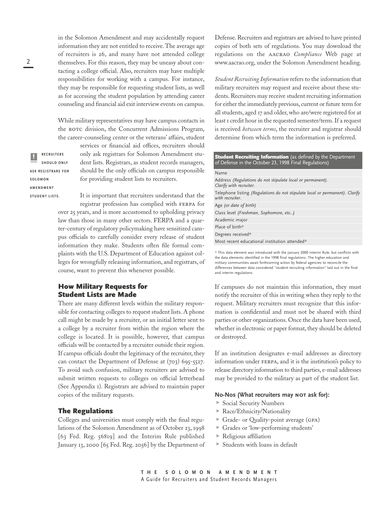in the Solomon Amendment and may accidentally request information they are not entitled to receive. The average age of recruiters is 26, and many have not attended college themselves. For this reason, they may be uneasy about contacting a college official. Also, recruiters may have multiple responsibilities for working with a campus. For instance, they may be responsible for requesting student lists, as well as for accessing the student population by attending career counseling and financial aid exit interview events on campus.

While military representatives may have campus contacts in the ROTC division, the Concurrent Admissions Program, the career-counseling center or the veterans' affairs, student

**RECRUITERS SHOULD ONLY ASK REGISTRARS FOR SOLOMON AMENDMENT STUDENT LISTS.**

only ask registrars for Solomon Amendment student lists. Registrars, as student records managers, should be the only officials on campus responsible for providing student lists to recruiters.

services or financial aid offices, recruiters should

It is important that recruiters understand that the registrar profession has complied with ferpa for over 25 years, and is more accustomed to upholding privacy law than those in many other sectors. FERPA and a quarter-century of regulatory policymaking have sensitized campus officials to carefully consider every release of student information they make. Students often file formal complaints with the U.S. Department of Education against colleges for wrongfully releasing information, and registrars, of course, want to prevent this whenever possible.

#### How Military Requests for Student Lists are Made

There are many different levels within the military responsible for contacting colleges to request student lists. A phone call might be made by a recruiter, or an initial letter sent to a college by a recruiter from within the region where the college is located. It is possible, however, that campus officials will be contacted by a recruiter outside their region. If campus officials doubt the legitimacy of the recruiter, they can contact the Department of Defense at (703) 695-5527. To avoid such confusion, military recruiters are advised to submit written requests to colleges on official letterhead (See Appendix 1). Registrars are advised to maintain paper copies of the military requests.

#### The Regulations

Colleges and universities must comply with the final regulations of the Solomon Amendment as of October 23, 1998 [63 Fed. Reg. 56819] and the Interim Rule published January 13, 2000 [65 Fed. Reg. 2056] by the Department of Defense. Recruiters and registrars are advised to have printed copies of both sets of regulations. You may download the regulations on the aacrao *Compliance* Web page at www.aacrao.org, under the Solomon Amendment heading.

*Student Recruiting Information* refers to the information that military recruiters may request and receive about these students. Recruiters may receive student recruiting information for either the immediately previous, current or future term for all students, aged 17 and older, who are/were registered for at least I credit hour in the requested semester/term. If a request is received *between terms*, the recruiter and registrar should determine from which term the information is preferred.

#### **Student Recruiting Information** (as defined by the Department of Defense in the October 23, 1998 Final Regulations) Name Address *(Regulations do not stipulate local or permanent). Clarify with recruiter.* Telephone listing *(Regulations do not stipulate local or permanent). Clarify with recruiter.* Age *(or date of birth)* Class level *(Freshman, Sophomore, etc…)* Academic major Place of birth\* Degrees received\* Most recent educational institution attended\*

\* This data element was introduced with the January 2000 Interim Rule, but conflicts with the data elements identified in the 1998 final regulations. The higher education and military communities await forthcoming action by federal agencies to reconcile the differences between data considered "student recruiting information" laid out in the final and interim regulations.

If campuses do not maintain this information, they must notify the recruiter of this in writing when they reply to the request. Military recruiters must recognize that this information is confidential and must not be shared with third parties or other organizations. Once the data have been used, whether in electronic or paper format, they should be deleted or destroyed.

If an institution designates e-mail addresses as directory information under ferpa, and it is the institution's policy to release directory information to third parties, e-mail addresses may be provided to the military as part of the student list.

#### **No-Nos (What recruiters may not ask for):**

- Social Security Numbers
- Race/Ethnicity/Nationality
- Grade- or Quality-point average (gpa)
- $\blacktriangleright$ Grades or 'low-performing students'
- Religious affiliation
- $\triangleright$  Students with loans in default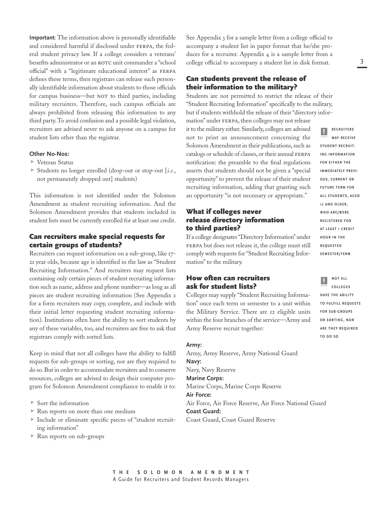**Important**: The information above is personally identifiable and considered harmful if disclosed under FERPA, the federal student privacy law. If a college considers a veterans' benefits administrator or an ROTC unit commander a "school official" with a "legitimate educational interest" as ferpa defines these terms, then registrars can release such personally identifiable information about students to those officials for campus business—but NOT to third parties, including military recruiters. Therefore, such campus officials are always prohibited from releasing this information to any third party.To avoid confusion and a possible legal violation, recruiters are advised never to ask anyone on a campus for student lists other than the registrar.

#### **Other No-Nos:**

- $\triangleright$  Veteran Status
- ► Students no longer enrolled (drop-out or stop-out [*i.e.*, not permanently dropped out] students)

This information is not identified under the Solomon Amendment as student recruiting information. And the Solomon Amendment provides that students included in student lists must be currently enrolled for at least one credit.

#### Can recruiters make special requests for certain groups of students?

Recruiters can request information on a sub-group, like 17- 21 year olds, because age is identified in the law as "Student Recruiting Information." And recruiters may request lists containing only certain pieces of student recruiting information such as name, address and phone number—as long as all pieces are student recruiting information (See Appendix for a form recruiters may copy, complete, and include with their initial letter requesting student recruiting information). Institutions often have the ability to sort students by any of these variables, too, and recruiters are free to ask that registrars comply with sorted lists.

Keep in mind that not all colleges have the ability to fulfill requests for sub-groups or sorting, nor are they required to do so. But in order to accommodate recruiters and to conserve resources, colleges are advised to design their computer program for Solomon Amendment compliance to enable it to:

- ► Sort the information
- Run reports on more than one medium
- Include or eliminate specific pieces of "student recruiting information"
- $\blacktriangleright$  Run reports on sub-groups

See Appendix 3 for a sample letter from a college official to accompany a student list in paper format that he/she produces for a recruiter. Appendix  $4$  is a sample letter from a college official to accompany a student list in disk format.

#### Can students prevent the release of their information to the military?

Students are not permitted to restrict the release of their "Student Recruiting Information" specifically to the military, but if students withhold the release of their "directory information" under ferpa, then colleges may not release

it to the military either. Similarly, colleges are advised not to print an announcement concerning the Solomon Amendment in their publications, such as catalogs or schedule of classes, or their annual FERPA notification: the preamble to the final regulations asserts that students should not be given a "special opportunity" to prevent the release of their student recruiting information, adding that granting such an opportunity "is not necessary or appropriate."

#### What if colleges never release directory information to third parties?

If a college designates "Directory Information" under FERPA but does not release it, the college must still comply with requests for "Student Recruiting Information" to the military.

#### How often can recruiters ask for student lists?

Colleges may supply "Student Recruiting Information" once each term or semester to a unit within the Military Service. There are 12 eligible units within the four branches of the service—Army and Army Reserve recruit together:

#### **Army:**

Army, Army Reserve, Army National Guard **Navy:** Navy, Navy Reserve **Marine Corps:** Marine Corps, Marine Corps Reserve **Air Force:** Air Force, Air Force Reserve, Air Force National Guard **Coast Guard:** Coast Guard, Coast Guard Reserve

**RECRUITERS MAY RECEIVE STUDENT RECRUIT-ING INFORMATION FOR EITHER THE IMMEDIATELY PREVI-OUS, CURRENT OR FUTURE TERM FOR ALL STUDENTS, AGED 17 AND OLDER, WHO ARE/WERE REGISTERED FOR AT LEAST 1 CREDIT HOUR IN THE REQUESTED SEMESTER/TERM** ||<br>|-



**HAVE THE ABILITY TO FULFILL REQUESTS FOR SUB-GROUPS OR SORTING, NOR ARE THEY REQUIRED TO DO SO**

**THE SOLOMON AMENDMENT** A Guide for Recruiters and Student Records Managers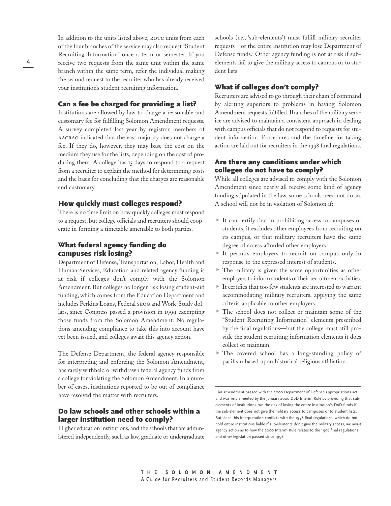In addition to the units listed above, ROTC units from each of the four branches of the service may also request "Student Recruiting Information" once a term or semester. If you receive two requests from the same unit within the same branch within the same term, refer the individual making the second request to the recruiter who has already received your institution's student recruiting information.

#### Can a fee be charged for providing a list?

Institutions are allowed by law to charge a reasonable and customary fee for fulfilling Solomon Amendment requests. A survey completed last year by registrar members of aacrao indicated that the vast majority does not charge a fee. If they do, however, they may base the cost on the medium they use for the lists, depending on the cost of producing them. A college has 15 days to respond to a request from a recruiter to explain the method for determining costs and the basis for concluding that the charges are reasonable and customary.

#### How quickly must colleges respond?

There is no time limit on how quickly colleges must respond to a request, but college officials and recruiters should cooperate in forming a timetable amenable to both parties.

#### What federal agency funding do campuses risk losing?

Department of Defense, Transportation, Labor, Health and Human Services, Education and related agency funding is at risk if colleges don't comply with the Solomon Amendment. But colleges no longer risk losing student-aid funding, which comes from the Education Department and includes Perkins Loans, Federal seog and Work-Study dollars, since Congress passed a provision in 1999 exempting those funds from the Solomon Amendment. No regulations amending compliance to take this into account have yet been issued, and colleges await this agency action.

The Defense Department, the federal agency responsible for interpreting and enforcing the Solomon Amendment, has rarely withheld or withdrawn federal agency funds from a college for violating the Solomon Amendment. In a number of cases, institutions reported to be out of compliance have resolved the matter with recruiters.

#### Do law schools and other schools within a larger institution need to comply?

Higher education institutions, and the schools that are administered independently, such as law, graduate or undergraduate schools (*i.e.*, 'sub-elements') must fulfill military recruiter requests—or the entire institution may lose Department of Defense funds.<sup>1</sup> Other agency funding is not at risk if subelements fail to give the military access to campus or to student lists.

#### What if colleges don't comply?

Recruiters are advised to go through their chain of command by alerting superiors to problems in having Solomon Amendment requests fulfilled. Branches of the military service are advised to maintain a consistent approach in dealing with campus officials that do not respond to requests for student information. Procedures and the timeline for taking action are laid out for recruiters in the 1998 final regulations.

#### Are there any conditions under which colleges do not have to comply?

While all colleges are advised to comply with the Solomon Amendment since nearly all receive some kind of agency funding stipulated in the law, some schools need not do so. A school will not be in violation of Solomon if:

- It can certify that in prohibiting access to campuses or students, it excludes other employees from recruiting on its campus, or that military recruiters have the same degree of access afforded other employers.
- $\blacktriangleright$  It permits employers to recruit on campus only in response to the expressed interest of students.
- $\triangleright$  The military is given the same opportunities as other employers to inform students of their recruitment activities.
- $\blacktriangleright$  It certifies that too few students are interested to warrant accommodating military recruiters, applying the same criteria applicable to other employers.
- $\triangleright$  The school does not collect or maintain some of the "Student Recruiting Information" elements prescribed by the final regulations—but the college must still provide the student recruiting information elements it does collect or maintain.
- The covered school has a long-standing policy of pacifism based upon historical religious affiliation.

 $\mathrm{^{r}}$  An amendment passed with the 2000 Department of Defense appropriations act and was implemented by the January 2000 DoD Interim Rule by providing that subelements of institutions run the risk of losing the entire institution's DoD funds if the sub-element does not give the military access to campuses or to student lists. But since this interpretation conflicts with the 1998 final regulations, which do not hold entire institutions liable if sub-elements don't give the military access, we await agency action as to how the 2000 Interim Rule relates to the 1998 final regulations and other legislation passed since 1998.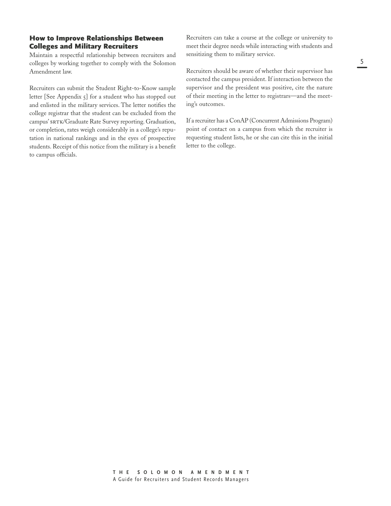#### How to Improve Relationships Between Colleges and Military Recruiters

Maintain a respectful relationship between recruiters and colleges by working together to comply with the Solomon Amendment law.

Recruiters can submit the Student Right-to-Know sample letter [See Appendix 5] for a student who has stopped out and enlisted in the military services. The letter notifies the college registrar that the student can be excluded from the campus' SRTK/Graduate Rate Survey reporting. Graduation, or completion, rates weigh considerably in a college's reputation in national rankings and in the eyes of prospective students. Receipt of this notice from the military is a benefit to campus officials.

Recruiters can take a course at the college or university to meet their degree needs while interacting with students and sensitizing them to military service.

Recruiters should be aware of whether their supervisor has contacted the campus president. If interaction between the supervisor and the president was positive, cite the nature of their meeting in the letter to registrars—and the meeting's outcomes.

If a recruiter has a ConAP (Concurrent Admissions Program) point of contact on a campus from which the recruiter is requesting student lists, he or she can cite this in the initial letter to the college.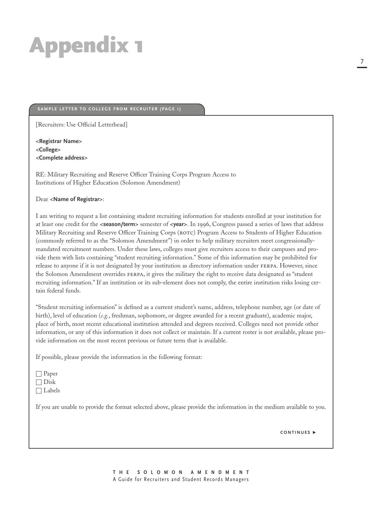#### **SAMPLE LETTER TO COLLEGE FROM RECRUITER (PAGE 1)**

[Recruiters: Use Official Letterhead]

**<Registrar Name> <College> <Complete address>**

RE: Military Recruiting and Reserve Officer Training Corps Program Access to Institutions of Higher Education (Solomon Amendment)

#### Dear **<Name of Registrar>**:

I am writing to request a list containing student recruiting information for students enrolled at your institution for at least one credit for the **<season/term>** semester of **<year>**. In 1996, Congress passed a series of laws that address Military Recruiting and Reserve Officer Training Corps (ROTC) Program Access to Students of Higher Education (commonly referred to as the "Solomon Amendment") in order to help military recruiters meet congressionallymandated recruitment numbers. Under these laws, colleges must give recruiters access to their campuses and provide them with lists containing "student recruiting information." Some of this information may be prohibited for release to anyone if it is not designated by your institution as directory information under FERPA. However, since the Solomon Amendment overrides ferpa, it gives the military the right to receive data designated as "student recruiting information." If an institution or its sub-element does not comply, the entire institution risks losing certain federal funds.

"Student recruiting information" is defined as a current student's name, address, telephone number, age (or date of birth), level of education (*e.g.*, freshman, sophomore, or degree awarded for a recent graduate), academic major, place of birth, most recent educational institution attended and degrees received. Colleges need not provide other information, or any of this information it does not collect or maintain. If a current roster is not available, please provide information on the most recent previous or future term that is available.

If possible, please provide the information in the following format:

□ Labels

If you are unable to provide the format selected above, please provide the information in the medium available to you.

**CONTINUES** -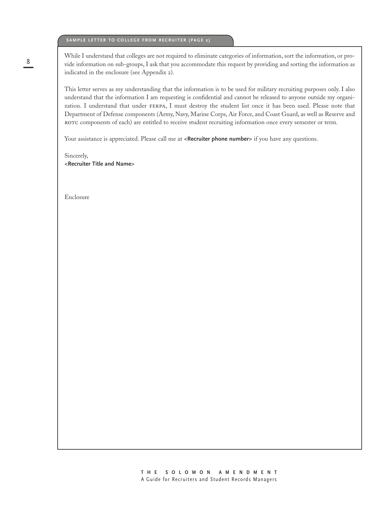#### **SAMPLE LETTER TO COLLEGE FROM RECRUITER (PAGE 2)**

While I understand that colleges are not required to eliminate categories of information, sort the information, or provide information on sub-groups, I ask that you accommodate this request by providing and sorting the information as indicated in the enclosure (see Appendix 2).

This letter serves as my understanding that the information is to be used for military recruiting purposes only. I also understand that the information I am requesting is confidential and cannot be released to anyone outside my organization. I understand that under ferpa, I must destroy the student list once it has been used. Please note that Department of Defense components (Army, Navy, Marine Corps, Air Force, and Coast Guard, as well as Reserve and ROTC components of each) are entitled to receive student recruiting information once every semester or term.

Your assistance is appreciated. Please call me at <**Recruiter phone number**> if you have any questions.

Sincerely, **<Recruiter Title and Name>**

Enclosure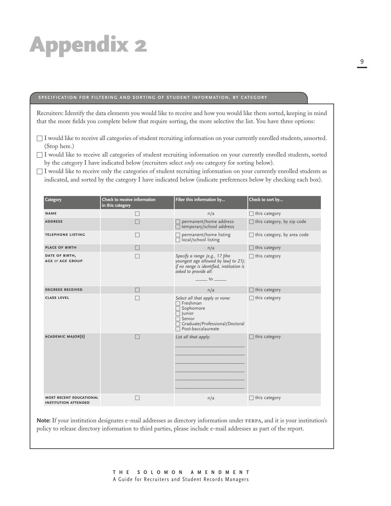#### **SPECIFICATION FOR FILTERING AND SORTING OF STUDENT INFORMATION, BY CATEGORY**

Recruiters: Identify the data elements you would like to receive and how you would like them sorted, keeping in mind that the more fields you complete below that require sorting, the more selective the list. You have three options:

- □ I would like to receive all categories of student recruiting information on your currently enrolled students, unsorted. (Stop here.)
- □ I would like to receive all categories of student recruiting information on your currently enrolled students, sorted by the category I have indicated below (recruiters select *only one* category for sorting below).
- $\Box$  I would like to receive only the categories of student recruiting information on your currently enrolled students as indicated, and sorted by the category I have indicated below (indicate preferences below by checking each box).

| Category                                                      | Check to receive information<br>in this category | Filter this information by                                                                                                                                                                                                      | Check to sort by                      |
|---------------------------------------------------------------|--------------------------------------------------|---------------------------------------------------------------------------------------------------------------------------------------------------------------------------------------------------------------------------------|---------------------------------------|
| <b>NAME</b>                                                   | $\Box$                                           | n/a                                                                                                                                                                                                                             | this category                         |
| <b>ADDRESS</b>                                                |                                                  | permanent/home address<br>$\Box$ temporary/school address                                                                                                                                                                       | this category, by zip code            |
| <b>TELEPHONE LISTING</b>                                      |                                                  | permanent/home listing<br>$\Box$ local/school listing                                                                                                                                                                           | this category, by area code<br>$\Box$ |
| <b>PLACE OF BIRTH</b>                                         |                                                  | n/a                                                                                                                                                                                                                             | this category                         |
| DATE OF BIRTH,<br><b>AGE OF AGE GROUP</b>                     |                                                  | Specify a range (e.g., 17 [the<br>youngest age allowed by law] to 21);<br>if no range is identified, institution is<br>asked to provide all:<br>$\frac{1}{\sqrt{1-\frac{1}{2}}}\left\{ 0\frac{1}{\sqrt{1-\frac{1}{2}}}\right\}$ | this category                         |
| <b>DEGREES RECEIVED</b>                                       | $\Box$                                           | n/a                                                                                                                                                                                                                             | this category                         |
| <b>CLASS LEVEL</b>                                            |                                                  | Select all that apply or none:<br>$\Box$ Freshman<br>□ Sophomore<br>$\sqcap$ Junior<br>$\sqsupset$ Senior<br>Graduate/Professional/Doctoral<br>$\overline{\Box}$ Post-baccalaureate                                             | this category                         |
| <b>ACADEMIC MAJOR(S)</b>                                      |                                                  | List all that apply:                                                                                                                                                                                                            | this category                         |
| <b>MOST RECENT EDUCATIONAL</b><br><b>INSTITUTION ATTENDED</b> |                                                  | n/a                                                                                                                                                                                                                             | this category                         |

**Note:** If your institution designates e-mail addresses as directory information under ferpa, and it is your institution's policy to release directory information to third parties, please include e-mail addresses as part of the report.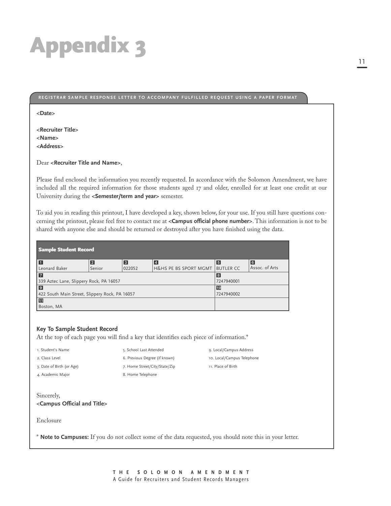#### **REGISTRAR SAMPLE RESPONSE LETTER TO ACCOMPANY FULFILLED REQUEST USING A PAPER FORMAT**

**<Date>**

**<Recruiter Title> <Name> <Address>**

Dear **<Recruiter Title and Name>**,

Please find enclosed the information you recently requested. In accordance with the Solomon Amendment, we have included all the required information for those students aged 17 and older, enrolled for at least one credit at our University during the **<Semester/term and year>** semester.

To aid you in reading this printout, I have developed a key, shown below, for your use. If you still have questions concerning the printout, please feel free to contact me at **<Campus official phone number>**. This information is not to be shared with anyone else and should be returned or destroyed after you have finished using the data.

| <b>Sample Student Record</b>                   |            |            |                       |                  |                |  |  |  |
|------------------------------------------------|------------|------------|-----------------------|------------------|----------------|--|--|--|
| П                                              | 2          | $\sqrt{3}$ | <b>4</b>              | 5                | 6              |  |  |  |
| Leonard Baker                                  | Senior     | 022052     | H&HS PE BS SPORT MGMT | <b>BUTLER CC</b> | Assoc. of Arts |  |  |  |
| $\overline{7}$                                 | 8          |            |                       |                  |                |  |  |  |
| 339 Aztec Lane, Slippery Rock, PA 16057        | 7247940001 |            |                       |                  |                |  |  |  |
| $\sqrt{9}$                                     | 10         |            |                       |                  |                |  |  |  |
| 422 South Main Street, Slippery Rock, PA 16057 | 7247940002 |            |                       |                  |                |  |  |  |
| 60                                             |            |            |                       |                  |                |  |  |  |
| Boston, MA                                     |            |            |                       |                  |                |  |  |  |

#### **Key To Sample Student Record**

At the top of each page you will find a key that identifies each piece of information.\* 5. School Last Attended

6. Previous Degree (if known)

1. Student's Name

- 2. Class Level
- 3. Date of Birth (or Age)
- 4. Academic Major
	-

7. Home Street/City/State/Zip 8. Home Telephone

9. Local/Campus Address 10. Local/Campus Telephone 11. Place of Birth

Sincerely, **<Campus Official and Title>**

Enclosure

\* **Note to Campuses:** If you do not collect some of the data requested, you should note this in your letter.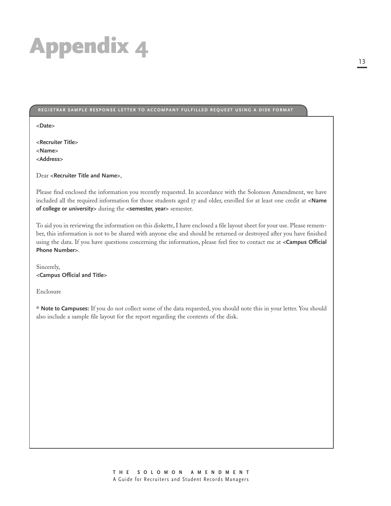#### **REGISTRAR SAMPLE RESPONSE LETTER TO ACCOMPANY FULFILLED REQUEST USING A DISK FORMAT**

**<Date>**

**<Recruiter Title> <Name> <Address>**

Dear **<Recruiter Title and Name>**,

Please find enclosed the information you recently requested. In accordance with the Solomon Amendment, we have included all the required information for those students aged 17 and older, enrolled for at least one credit at **<Name of college or university>** during the **<semester, year>** semester.

To aid you in reviewing the information on this diskette, I have enclosed a file layout sheet for your use. Please remember, this information is not to be shared with anyone else and should be returned or destroyed after you have finished using the data. If you have questions concerning the information, please feel free to contact me at **<Campus Official Phone Number>**.

Sincerely, **<Campus Official and Title>**

Enclosure

**\* Note to Campuses:** If you do not collect some of the data requested, you should note this in your letter. You should also include a sample file layout for the report regarding the contents of the disk.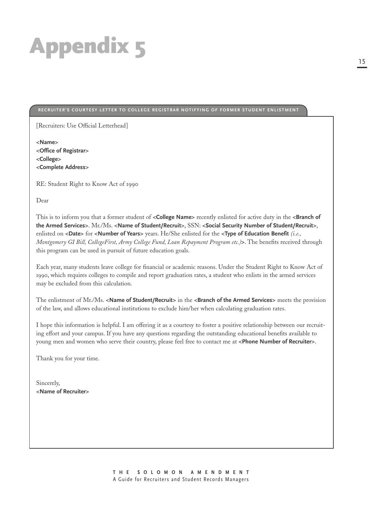#### **RECRUITER'S COURTESY LETTER TO COLLEGE REGISTRAR NOTIFYING OF FORMER STUDENT ENLISTMENT**

[Recruiters: Use Official Letterhead]

**<Name> <Office of Registrar> <College> <Complete Address>**

RE: Student Right to Know Act of 1990

Dear

This is to inform you that a former student of **<College Name>** recently enlisted for active duty in the **<Branch of the Armed Services>**. Mr./Ms. **<Name of Student/Recruit>**, SSN: **<Social Security Number of Student/Recruit>**, enlisted on **<Date>** for **<Number of Years>** years. He/She enlisted for the **<Type of Education Benefit** *(i.e., Montgomery GI Bill, CollegeFirst, Army College Fund, Loan Repayment Program etc.)***>**. The benefits received through this program can be used in pursuit of future education goals.

Each year, many students leave college for financial or academic reasons. Under the Student Right to Know Act of , which requires colleges to compile and report graduation rates, a student who enlists in the armed services may be excluded from this calculation.

The enlistment of Mr./Ms. **<Name of Student/Recruit>** in the **<Branch of the Armed Services>** meets the provision of the law, and allows educational institutions to exclude him/her when calculating graduation rates.

I hope this information is helpful. I am offering it as a courtesy to foster a positive relationship between our recruiting effort and your campus. If you have any questions regarding the outstanding educational benefits available to young men and women who serve their country, please feel free to contact me at **<Phone Number of Recruiter>**.

Thank you for your time.

Sincerely, **<Name of Recruiter>**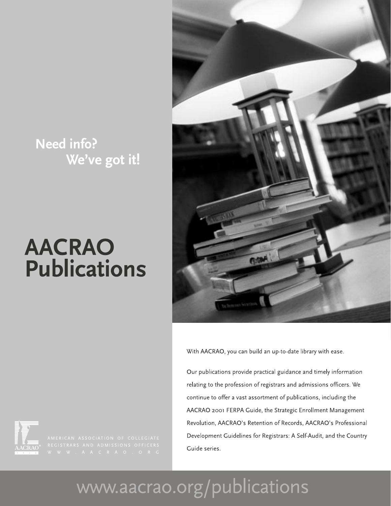### Need info? We've got it!

# **AACRAO Publications**



With AACRAO, you can build an up-to-date library with ease.

Our publications provide practical guidance and timely information relating to the profession of registrars and admissions officers. We continue to offer a vast assortment of publications, including the AACRAO 2001 FERPA Guide, the Strategic Enrollment Management Revolution, AACRAO's Retention of Records, AACRAO's Professional Development Guidelines for Registrars: A Self-Audit, and the Country Guide series.



# www.aacrao.org/publications